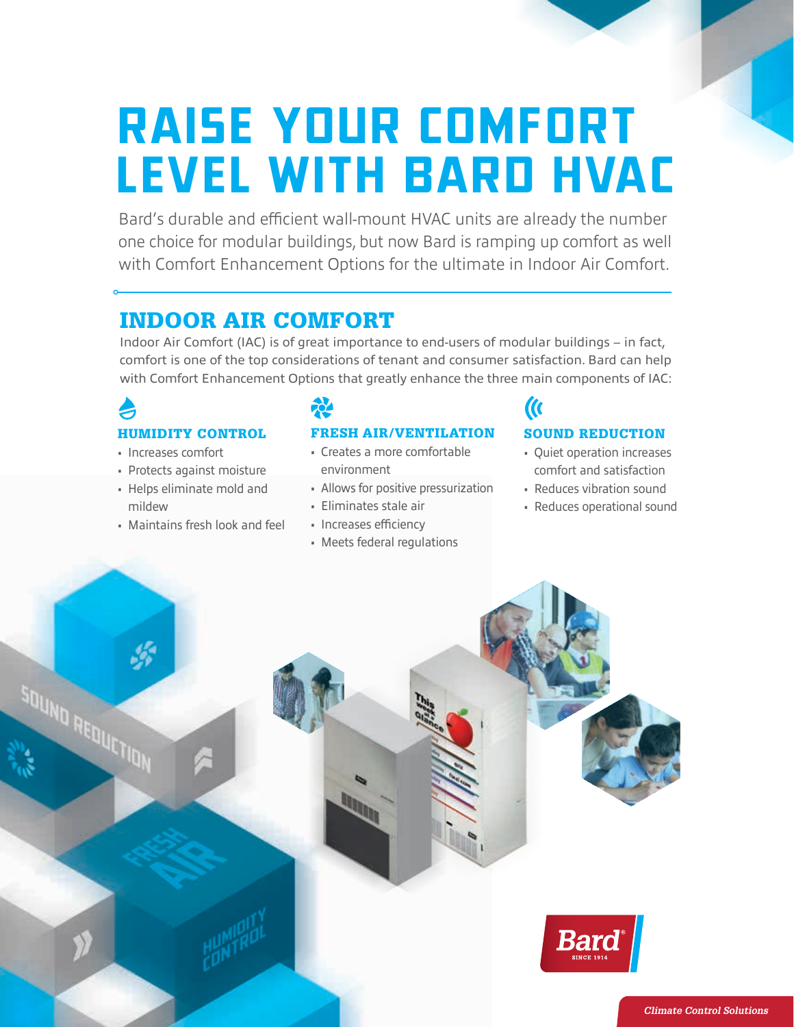# *RAISE YOUR COMFORT LEVEL WITH BARD HVAC*

Bard's durable and efficient wall-mount HVAC units are already the number one choice for modular buildings, but now Bard is ramping up comfort as well with Comfort Enhancement Options for the ultimate in Indoor Air Comfort.

### INDOOR AIR COMFORT

Indoor Air Comfort (IAC) is of great importance to end-users of modular buildings – in fact, comfort is one of the top considerations of tenant and consumer satisfaction. Bard can help with Comfort Enhancement Options that greatly enhance the three main components of IAC:

### HUMIDITY CONTROL

- Increases comfort
- Protects against moisture
- Helps eliminate mold and
- mildew
- Maintains fresh look and feel

### FRESH AIR/VENTILATION

- Creates a more comfortable environment
- Allows for positive pressurization
- Eliminates stale air
- Increases efficiency
- Meets federal regulations

#### SOUND REDUCTION

 $\mathcal{U}$ 

- Quiet operation increases comfort and satisfaction
- Reduces vibration sound
- Reduces operational sound